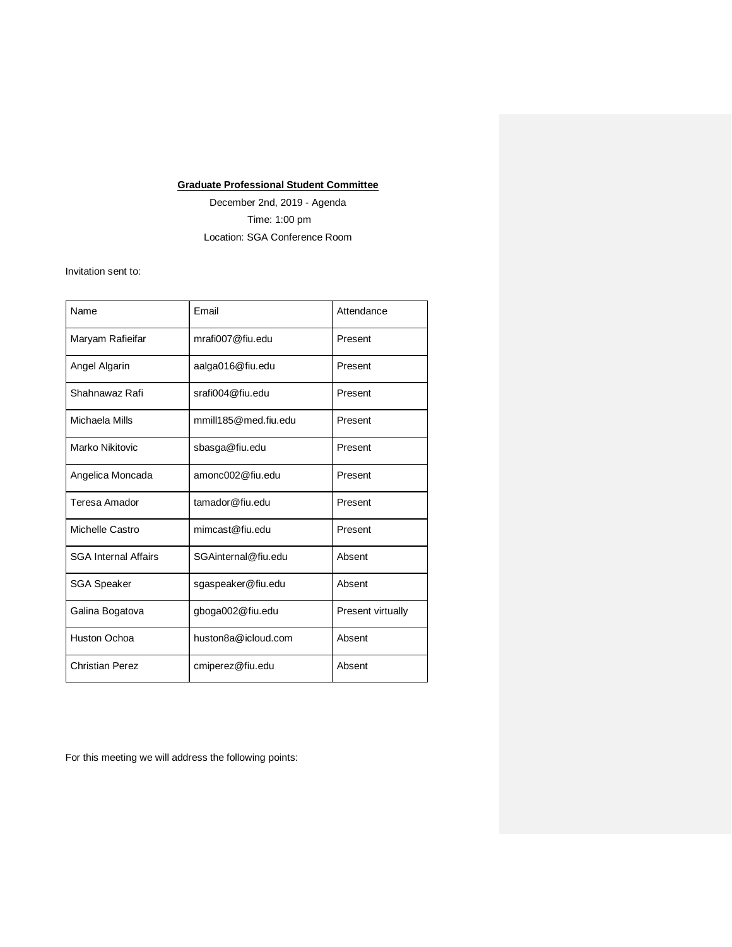## **Graduate Professional Student Committee**

December 2nd, 2019 - Agenda Time: 1:00 pm Location: SGA Conference Room

Invitation sent to:

| Name                        | Fmail                | Attendance        |
|-----------------------------|----------------------|-------------------|
| Maryam Rafieifar            | mrafi007@fiu.edu     | Present           |
| Angel Algarin               | aalga016@fiu.edu     | Present           |
| Shahnawaz Rafi              | srafi004@fiu.edu     | Present           |
| Michaela Mills              | mmill185@med.fiu.edu | Present           |
| Marko Nikitovic             | sbasga@fiu.edu       | Present           |
| Angelica Moncada            | amonc002@fiu.edu     | Present           |
| Teresa Amador               | tamador@fiu.edu      | Present           |
| Michelle Castro             | mimcast@fiu.edu      | Present           |
| <b>SGA Internal Affairs</b> | SGAinternal@fiu.edu  | Absent            |
| <b>SGA Speaker</b>          | sgaspeaker@fiu.edu   | Absent            |
| Galina Bogatova             | gboga002@fiu.edu     | Present virtually |
| Huston Ochoa                | huston8a@icloud.com  | Absent            |
| <b>Christian Perez</b>      | cmiperez@fiu.edu     | Absent            |

For this meeting we will address the following points: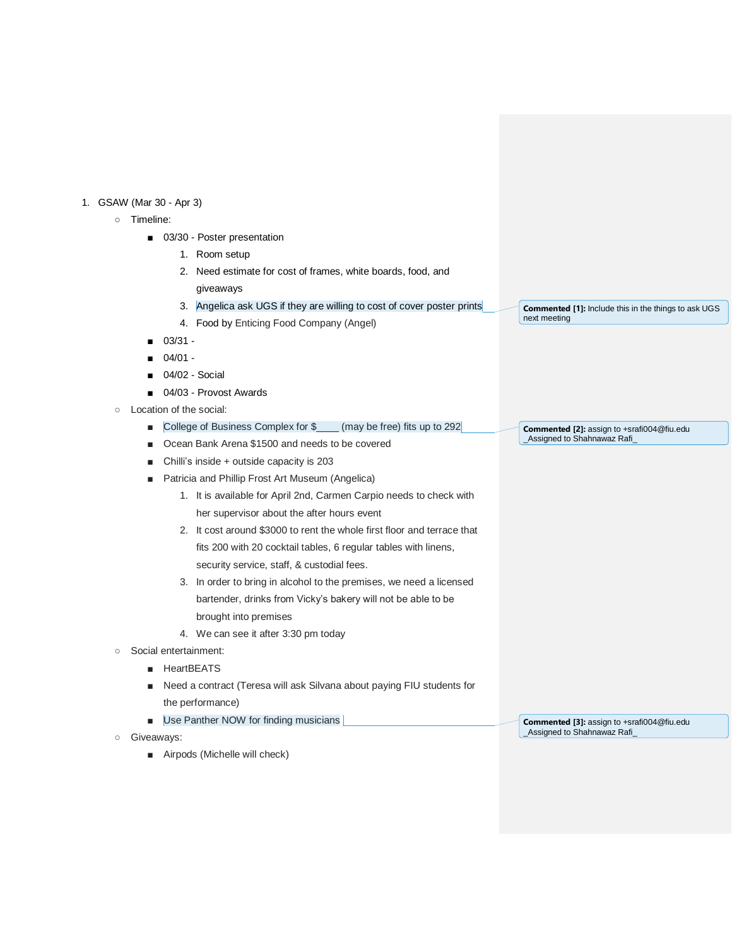## 1. GSAW (Mar 30 - Apr 3)

- Timeline:
	- 03/30 Poster presentation
		- 1. Room setup
		- 2. Need estimate for cost of frames, white boards, food, and giveaways
		- 3. Angelica ask UGS if they are willing to cost of cover poster prints
		- 4. Food by Enticing Food Company (Angel)
	- 03/31 -
	- 04/01 -
	- 04/02 Social
	- 04/03 Provost Awards
- Location of the social:
	- College of Business Complex for \$\_\_\_\_ (may be free) fits up to 292
	- Ocean Bank Arena \$1500 and needs to be covered
	- Chilli's inside + outside capacity is 203
	- Patricia and Phillip Frost Art Museum (Angelica)
		- 1. It is available for April 2nd, Carmen Carpio needs to check with her supervisor about the after hours event
		- 2. It cost around \$3000 to rent the whole first floor and terrace that fits 200 with 20 cocktail tables, 6 regular tables with linens, security service, staff, & custodial fees.
		- 3. In order to bring in alcohol to the premises, we need a licensed bartender, drinks from Vicky's bakery will not be able to be brought into premises
		- 4. We can see it after 3:30 pm today
- Social entertainment:
	- HeartBEATS
	- Need a contract (Teresa will ask Silvana about paying FIU students for the performance)
	- Use Panther NOW for finding musicians
- Giveaways:
	- Airpods (Michelle will check)

**Commented [1]:** Include this in the things to ask UGS next meeting

**Commented [2]:** assign to +srafi004@fiu.edu \_Assigned to Shahnawaz Rafi\_

**Commented [3]:** assign to +srafi004@fiu.edu \_Assigned to Shahnawaz Rafi\_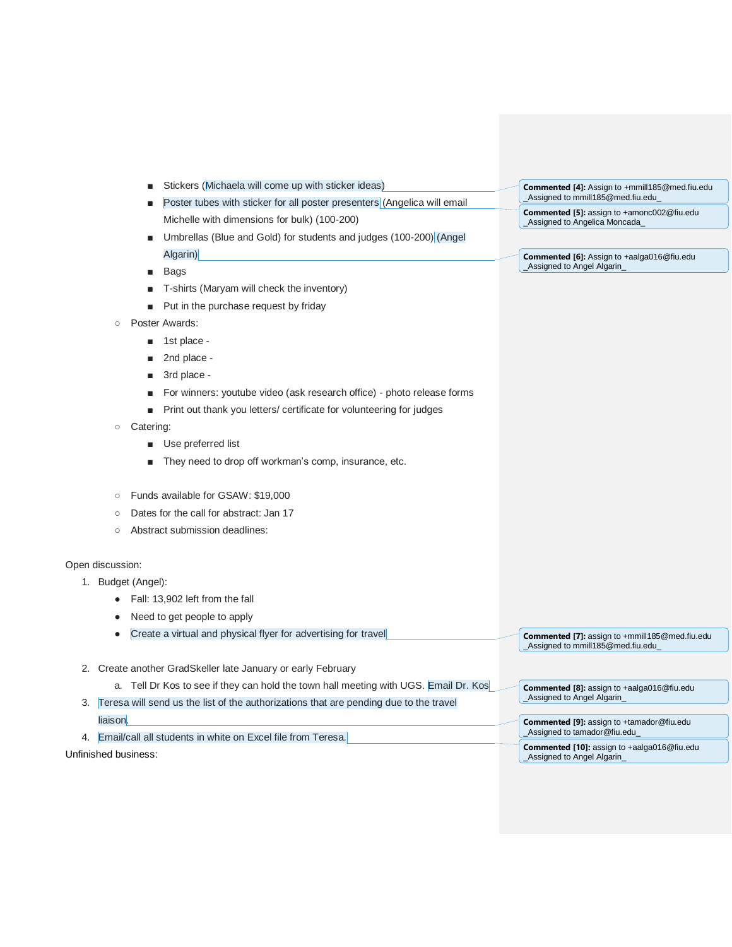|                  | Stickers (Michaela will come up with sticker ideas)<br>Poster tubes with sticker for all poster presenters (Angelica will email |                                                                                       |                                                                                      |
|------------------|---------------------------------------------------------------------------------------------------------------------------------|---------------------------------------------------------------------------------------|--------------------------------------------------------------------------------------|
|                  |                                                                                                                                 |                                                                                       | Commented [4]: Assign to +mmill185@med.fiu.edu<br>Assigned to mmill185@med.fiu.edu   |
|                  |                                                                                                                                 | Michelle with dimensions for bulk) (100-200)                                          | <b>Commented [5]:</b> assign to +amonc002@fiu.edu<br>_Assigned to Angelica Moncada_  |
|                  |                                                                                                                                 | Umbrellas (Blue and Gold) for students and judges (100-200) (Angel<br>п               |                                                                                      |
|                  |                                                                                                                                 | Algarin)                                                                              | Commented [6]: Assign to +aalga016@fiu.edu                                           |
|                  |                                                                                                                                 | Bags<br>п                                                                             | Assigned to Angel Algarin                                                            |
|                  |                                                                                                                                 | T-shirts (Maryam will check the inventory)                                            |                                                                                      |
|                  |                                                                                                                                 | Put in the purchase request by friday                                                 |                                                                                      |
|                  | $\circ$                                                                                                                         | Poster Awards:                                                                        |                                                                                      |
|                  |                                                                                                                                 | 1st place -                                                                           |                                                                                      |
|                  |                                                                                                                                 | 2nd place -<br>п                                                                      |                                                                                      |
|                  |                                                                                                                                 | 3rd place -                                                                           |                                                                                      |
|                  |                                                                                                                                 | For winners: youtube video (ask research office) - photo release forms                |                                                                                      |
|                  |                                                                                                                                 | Print out thank you letters/ certificate for volunteering for judges<br>п             |                                                                                      |
|                  | $\circ$                                                                                                                         | Catering:                                                                             |                                                                                      |
|                  |                                                                                                                                 | Use preferred list<br>п                                                               |                                                                                      |
|                  |                                                                                                                                 | They need to drop off workman's comp, insurance, etc.                                 |                                                                                      |
|                  | $\circ$                                                                                                                         | Funds available for GSAW: \$19,000                                                    |                                                                                      |
|                  | $\circ$                                                                                                                         | Dates for the call for abstract: Jan 17                                               |                                                                                      |
|                  | O                                                                                                                               | Abstract submission deadlines:                                                        |                                                                                      |
| Open discussion: |                                                                                                                                 |                                                                                       |                                                                                      |
|                  |                                                                                                                                 | 1. Budget (Angel):                                                                    |                                                                                      |
|                  |                                                                                                                                 | Fall: 13,902 left from the fall                                                       |                                                                                      |
|                  |                                                                                                                                 | Need to get people to apply                                                           |                                                                                      |
|                  |                                                                                                                                 | Create a virtual and physical flyer for advertising for travel                        | Commented [7]: assign to +mmill185@med.fiu.edu<br>_Assigned to mmill185@med.fiu.edu_ |
|                  |                                                                                                                                 | 2. Create another GradSkeller late January or early February                          |                                                                                      |
|                  |                                                                                                                                 | a. Tell Dr Kos to see if they can hold the town hall meeting with UGS. Email Dr. Kos  | Commented [8]: assign to +aalga016@fiu.edu                                           |
| 3.               |                                                                                                                                 | Teresa will send us the list of the authorizations that are pending due to the travel | Assigned to Angel Algarin                                                            |
|                  | liaison.                                                                                                                        |                                                                                       | <b>Commented [9]:</b> assign to +tamador@fiu.edu                                     |

4. Email/call all students in white on Excel file from Teresa.

Unfinished business:

\_Assigned to tamador@fiu.edu\_

**Commented [10]:** assign to +aalga016@fiu.edu \_Assigned to Angel Algarin\_